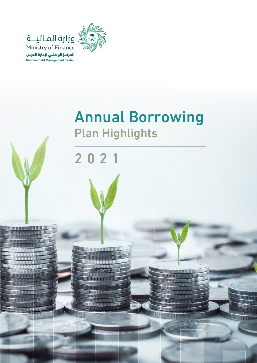

<u> UNICOLORIAL A LITTO DI DI</u> **WITH A REAL PROPERTY OF A REAL PROPERTY** 

**BOOTALLUU** 

TITTIII

<u>UTABARITAN PERBAN</u> **AUDITINAL FRAGA** 

**NOTES LE** 

**JUNIARY AG** 

llin 1111

llim

# **Annual Borrowing Plan Highlights**



<u> UN Management School (1999)</u> <u>Ultri i in Service (Schaulen)</u>

推进

**TIBARU** 

mm

**MONTERER** 

**UNIT** 

**ACCOUNTING** 

**UNION NY YON** 

**THE REAL PROPE** 

**ILITOTA** 

**ITTLE TYPER** 

**THE TELEVISION** 

**WUNGTING** 

**JA BAR TE HERRIFERINA TA** 

ITETT OM LAERSELLE A JOURNAL AVENUE DE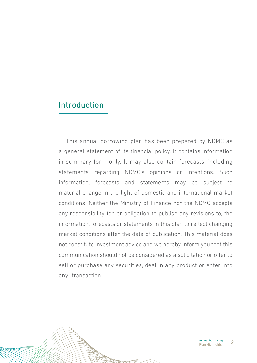### Introduction

This annual borrowing plan has been prepared by NDMC as a general statement of its financial policy. It contains information in summary form only. It may also contain forecasts, including statements regarding NDMC's opinions or intentions. Such information, forecasts and statements may be subject to material change in the light of domestic and international market conditions. Neither the Ministry of Finance nor the NDMC accepts. any responsibility for, or obligation to publish any revisions to, the information, forecasts or statements in this plan to reflect changing market conditions after the date of publication. This material does not constitute investment advice and we hereby inform you that this communication should not be considered as a solicitation or offer to sell or purchase any securities, deal in any product or enter into any transaction.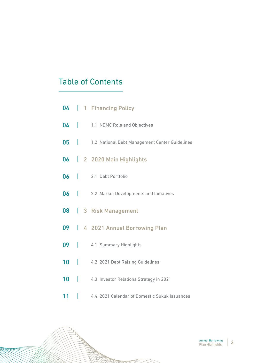## **Table of Contents**

|    |   | 04   1 Financing Policy                             |
|----|---|-----------------------------------------------------|
|    |   | 04   1.1 NDMC Role and Objectives                   |
|    |   | 05   1.2 National Debt Management Center Guidelines |
|    |   | 06   2 2020 Main Highlights                         |
|    |   | 06   2.1 Debt Portfolio                             |
|    |   | 06   2.2 Market Developments and Initiatives        |
| 80 |   | 3 Risk Management                                   |
|    |   | 09   4 2021 Annual Borrowing Plan                   |
|    |   | 09   4.1 Summary Highlights                         |
| 10 |   | 4.2 2021 Debt Raising Guidelines                    |
|    |   | 10   4.3 Investor Relations Strategy in 2021        |
| 11 | I | 4.4 2021 Calendar of Domestic Sukuk Issuances       |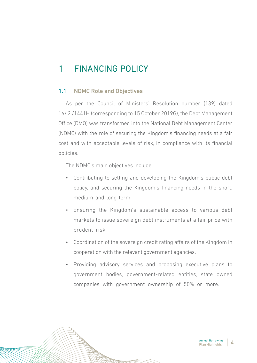# 1 FINANCING POLICY

### 1.1 NDMC Role and Objectives

As per the Council of Ministers' Resolution number (139) dated 16/2/1441H (corresponding to 15 October 2019G), the Debt Management Office (DMO) was transformed into the National Debt Management Center (NDMC) with the role of securing the Kingdom's financing needs at a fair cost and with acceptable levels of risk, in compliance with its financial .policies

The NDMC's main objectives include:

- Contributing to setting and developing the Kingdom's public debt policy, and securing the Kingdom's financing needs in the short, medium and long term.
- Ensuring the Kingdom's sustainable access to various debt markets to issue sovereign debt instruments at a fair price with prudent risk.
- Coordination of the sovereign credit rating affairs of the Kingdom in cooperation with the relevant government agencies.
- Providing advisory services and proposing executive plans to government bodies, government-related entities, state owned companies with government ownership of 50% or more.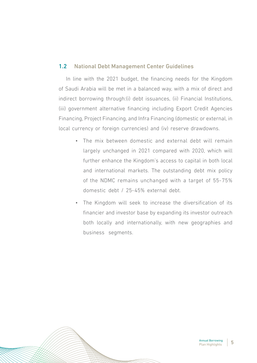#### 1.2 National Debt Management Center Guidelines

In line with the 2021 budget, the financing needs for the Kingdom of Saudi Arabia will be met in a balanced way, with a mix of direct and indirect borrowing through: (i) debt issuances, (ii) Financial Institutions, (iii) government alternative financing including Export Credit Agencies Financing, Project Financing, and Infra Financing (domestic or external, in local currency or foreign currencies) and (iv) reserve drawdowns.

- The mix between domestic and external debt will remain largely unchanged in 2021 compared with 2020, which will further enhance the Kingdom's access to capital in both local and international markets. The outstanding debt mix policy of the NDMC remains unchanged with a target of 55-75% domestic debt / 25-45% external debt.
- The Kingdom will seek to increase the diversification of its financier and investor base by expanding its investor outreach both locally and internationally, with new geographies and business segments.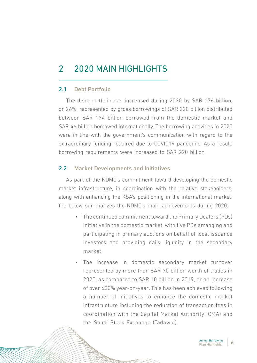# 2 2020 MAIN HIGHLIGHTS

### 2.1 Debt Portfolio

The debt portfolio has increased during 2020 by SAR 176 billion, or 26%, represented by gross borrowings of SAR 220 billion distributed between SAR 174 billion borrowed from the domestic market and 5AR 46 billion borrowed internationally. The borrowing activities in 2020 were in line with the government's communication with regard to the extraordinary funding required due to COVID19 pandemic. As a result, borrowing requirements were increased to SAR 220 billion.

### **2.2** Market Developments and Initiatives

As part of the NDMC's commitment toward developing the domestic market infrastructure, in coordination with the relative stakeholders, along with enhancing the KSA's positioning in the international market, the below summarizes the NDMC's main achievements during 2020:

- The continued commitment toward the Primary Dealers (PDs) initiative in the domestic market, with five PDs arranging and participating in primary auctions on behalf of local issuance investors and providing daily liquidity in the secondary .market
- The increase in domestic secondary market turnover represented by more than SAR 70 billion worth of trades in 2020, as compared to SAR 10 billion in 2019, or an increase of over 600% year-on-year. This has been achieved following a number of initiatives to enhance the domestic market infrastructure including the reduction of transaction fees in coordination with the Capital Market Authority (CMA) and the Saudi Stock Exchange (Tadawul).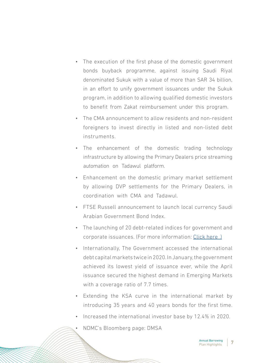- The execution of the first phase of the domestic government bonds buyback programme, against issuing Saudi Riyal denominated Sukuk with a value of more than SAR 34 billion. in an effort to unify government issuances under the Sukuk program, in addition to allowing qualified domestic investors to benefit from Zakat reimbursement under this program.
- The CMA announcement to allow residents and non-resident foreigners to invest directly in listed and non-listed debt .instruments
- The enhancement of the domestic trading technology infrastructure by allowing the Primary Dealers price streaming automation on Tadawul platform.
- Enhancement on the domestic primary market settlement by allowing DVP settlements for the Primary Dealers, in coordination with CMA and Tadawul.
- FTSE Russell announcement to launch local currency Saudi Arabian Government Bond Index.
- The launching of 20 debt-related indices for government and corporate issuances. (For more information: Click here.)
- Internationally, The Government accessed the international debt capital markets twice in 2020. In January, the government achieved its lowest yield of issuance ever, while the April issuance secured the highest demand in Emerging Markets with a coverage ratio of 7.7 times.
- Extending the KSA curve in the international market by introducing 35 years and 40 years bonds for the first time.
- Increased the international investor base by 12.4% in 2020.
	- NDMC's Bloomberg page: DMSA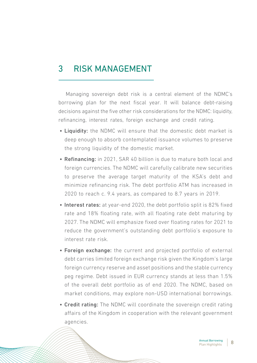### 3 RISK MANAGEMENT

Managing sovereign debt risk is a central element of the NDMC's borrowing plan for the next fiscal vear. It will balance debt-raising decisions against the five other risk considerations for the NDMC: liquidity, refinancing, interest rates, foreign exchange and credit rating.

- Liquidity: the NDMC will ensure that the domestic debt market is deep enough to absorb contemplated issuance volumes to preserve the strong liquidity of the domestic market.
- Refinancing: in 2021, SAR 40 billion is due to mature both local and foreign currencies. The NDMC will carefully calibrate new securities to preserve the average target maturity of the KSA's debt and minimize refinancing risk. The debt portfolio ATM has increased in  $2020$  to reach c. 9.4 years, as compared to 8.7 years in 2019.
- Interest rates: at year-end 2020, the debt portfolio split is 82% fixed rate and 18% floating rate, with all floating rate debt maturing by 2027. The NDMC will emphasize fixed over floating rates for 2021 to reduce the government's outstanding debt portfolio's exposure to interest rate risk.
- Foreign exchange: the current and projected portfolio of external debt carries limited foreign exchange risk given the Kingdom's large foreign currency reserve and asset positions and the stable currency peg regime. Debt issued in EUR currency stands at less than 1.5% of the overall debt portfolio as of end 2020. The NDMC, based on market conditions, may explore non-USD international borrowings.
- Credit rating: The NDMC will coordinate the sovereign credit rating affairs of the Kingdom in cooperation with the relevant government .agencies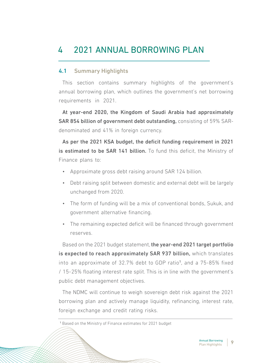# 4 2021 ANNUAL BORROWING PLAN

### 4.1 Summary Highlights

This section contains summary highlights of the government's annual borrowing plan, which outlines the government's net borrowing requirements in 2021.

At year-end 2020, the Kingdom of Saudi Arabia had approximately SAR 854 billion of government debt outstanding, consisting of 59% SAR-<br>denominated-and 41% in foreign currency.

As per the 2021 KSA budget, the deficit funding requirement in 2021 is estimated to be SAR 141 billion. To fund this deficit, the Ministry of Finance plans to:

- Approximate gross debt raising around SAR 124 billion.
- Debt raising split between domestic and external debt will be largely unchanged from 2020.
- The form of funding will be a mix of conventional bonds, Sukuk, and government alternative financing.
- The remaining expected deficit will be financed through government .reserves

Based on the 2021 budget statement, the year-end 2021 target portfolio is expected to reach approximately SAR 937 billion, which translates into an approximate of 32.7% debt to GDP ratio<sup>1</sup>, and a 75-85% fixed / 15-25% floating interest rate split. This is in line with the government's public debt management objectives.

The NDMC will continue to weigh sovereign debt risk against the 2021 borrowing plan and actively manage liquidity, refinancing, interest rate, foreign exchange and credit rating risks.

<sup>&</sup>lt;sup>1</sup> Based on the Ministry of Finance estimates for 2021 budget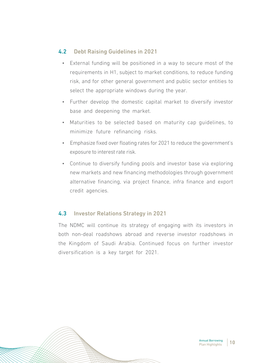### 4.2 Debt Raising Guidelines in 2021

- External funding will be positioned in a way to secure most of the requirements in H1, subject to market conditions, to reduce funding risk, and for other general government and public sector entities to select the appropriate windows during the year.
- Further develop the domestic capital market to diversify investor base and deepening the market.
- Maturities to be selected based on maturity cap guidelines, to minimize future refinancing risks.
- Emphasize fixed over floating rates for 2021 to reduce the government's exposure to interest rate risk.
- Continue to diversify funding pools and investor base via exploring new markets and new financing methodologies through government alternative financing, via project finance, infra finance and export credit agencies.

### 4.3 Investor Relations Strategy in 2021

The NDMC will continue its strategy of engaging with its investors in both non-deal roadshows abroad and reverse investor roadshows in the Kingdom of Saudi Arabia. Continued focus on further investor diversification is a key target for 2021.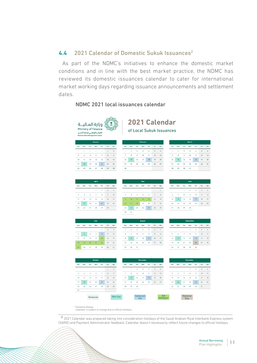#### 4.4  $2021$  Calendar of Domestic Sukuk Issuances<sup>2</sup>

As part of the NDMC's initiatives to enhance the domestic market conditions and in line with the best market practice, the NDMC has reviewed its domestic issuances calendar to cater for international market working days regarding issuance announcements and settlement dates.

#### NDMC 2021 local issuances calendar



| January                 |     |      |     |     |     |                |  |  |  |  |  |  |
|-------------------------|-----|------|-----|-----|-----|----------------|--|--|--|--|--|--|
| Sun                     | Mon | Tue  | Wed | Thr | Fri | Sat            |  |  |  |  |  |  |
| 27                      | 28  | - 29 | 30  | 31  | 1   | $\overline{2}$ |  |  |  |  |  |  |
| $\overline{\mathbf{3}}$ | 4   | 5    | 6   | 7   | 8   | 9              |  |  |  |  |  |  |
| 10                      | 11  | 12   | 13  | 14  | 15  | 16             |  |  |  |  |  |  |
| 17                      | 18  | 19   | 20  | 21  | 22  | 23             |  |  |  |  |  |  |
| 24                      | 25  | 26   | 27  | 28  | 29  | 30             |  |  |  |  |  |  |
|                         |     |      |     |     |     |                |  |  |  |  |  |  |

### **2021 Calendar**

of Local Sukuk Issuances

|                         |     |     | <b>January</b> |                |    |                |
|-------------------------|-----|-----|----------------|----------------|----|----------------|
| Sun                     | Mon | Tue | Wed            | Thr            |    | Fri Sat        |
| 27                      | 28  | 29  | 30             | 31             |    | $1 \quad 2$    |
| $\overline{\mathbf{3}}$ | 4   | -5  | -6             | $\overline{7}$ | 8  | $\overline{9}$ |
| 10                      | 11  | 12  | 13             | 14             | 15 | 16             |
| 17                      | 18  | 19  | 20             | 21             | 22 | 23             |
| 24                      | 25  | 26  | 27             | 28             | 29 | 30             |
|                         |     |     |                |                |    |                |

| Sun            |          |                         | Mon Tue Wed Thr         |    | Fri 1 | Sat |
|----------------|----------|-------------------------|-------------------------|----|-------|-----|
| 28             | $\sim$ 1 | $\overline{\mathbf{2}}$ | $\overline{\mathbf{3}}$ | 4  | 5     | 6   |
| $\overline{7}$ | 8        | 9                       | $10 \t 11$              |    | 12    | 13  |
| 14             | 15       | 16 17                   |                         | 18 | 19    | 20  |
| 21             |          |                         | 22 23 24                | 25 | 26    | 27  |
| 28             | 29       | 30                      | 31                      |    |       |     |
|                |          |                         |                         |    |       |     |

| April |     |     |                |     |                |                |  |  |  |  |  |  |
|-------|-----|-----|----------------|-----|----------------|----------------|--|--|--|--|--|--|
| Sun   | Mon | Tue | Wed            | Thr | Fri            | Sat            |  |  |  |  |  |  |
|       |     |     | 31             | 1   | $\overline{2}$ | $\overline{3}$ |  |  |  |  |  |  |
| 4     | 5   | 6   | $\overline{7}$ | 8   | 9              | 10             |  |  |  |  |  |  |
| 11    | 12  | 13  | 14             | 15  | 16             | 17             |  |  |  |  |  |  |
| 18    | 19  | 20  | 21             | 22  | 23             | 24             |  |  |  |  |  |  |
| 25    | 26  | 27  | 28             | 29  | 30             |                |  |  |  |  |  |  |
|       |     |     |                |     |                |                |  |  |  |  |  |  |

|     |                |     | July |                 |             |                         |
|-----|----------------|-----|------|-----------------|-------------|-------------------------|
| šun | Mon            | Tue | Wed  | Thr             | Fri         | Sat                     |
|     |                |     |      | ٠               | $2^{\circ}$ | $\overline{\mathbf{3}}$ |
| 4   | 5 <sup>1</sup> | 6   | 7    | 8               | 9           | 10                      |
| 11  | 12             | 13  | 14   | 15              | 16          | 17                      |
| 18  | 19             | 20  | 21   | 22 <sup>°</sup> | 23          | 24                      |
| 25  | 26             | 27  | 28   | 29              | 30          | 31                      |

|       |     |     | April          |          |    |         |  |
|-------|-----|-----|----------------|----------|----|---------|--|
| Sun   | Mon | Tue | Wed            | Thr      |    | Fri Sat |  |
|       |     |     |                | $31 - 1$ |    | $2 \t3$ |  |
| $4 -$ | 5.  | -6  | $\overline{7}$ | 8        | 9  | 10      |  |
| 11    | 12  | 13  | 14 15          |          | 16 | 17      |  |
| 18    | 19  |     | 20 21          | 22       |    | 23 24   |  |
| 25    | 26  | 27  | 28             | 29       | 30 |         |  |
|       |     |     |                |          |    |         |  |
|       |     |     |                |          |    |         |  |

|     |                |     | July           |                 |             |                            |
|-----|----------------|-----|----------------|-----------------|-------------|----------------------------|
| Sun | Mon            | Tue | Wed            | Thr             | Fri         | Sat                        |
|     |                |     |                | 1               | $2^{\circ}$ | $\overline{\phantom{a}}$ 3 |
| 4   | 5 <sub>1</sub> | 6   | $\overline{7}$ | 8 <sup>1</sup>  | 9           | 10                         |
| 11  | 12             | 13  | 14             | 15 <sup>1</sup> | 16          | 17                         |
| 18  | 19             | 20  | 21             | 22 <sup>°</sup> | 23          | 24                         |

|     |     |                | <b>September</b> |                |     |     |
|-----|-----|----------------|------------------|----------------|-----|-----|
| Sun | Mon | Tue            | Wed              | Thr            | Fri | Sat |
|     |     |                | 1                | $\overline{2}$ | 3   | 4   |
| 5   | 6   | $\overline{7}$ | 8                | 9              | 10  | 11  |
| 12  | 13  | 14             | 15               | 16             | 17  | 18  |
| 19  | 20  | 21             | 22               | 23             | 24  | 25  |
|     |     |                |                  |                |     |     |

| Mon<br>4<br>11 | Tue<br>5 | Wed<br>6 | Thr<br>$\overline{7}$ | Fri<br>1<br>8 | Sat<br>$\overline{2}$<br>9 |
|----------------|----------|----------|-----------------------|---------------|----------------------------|
|                |          |          |                       |               |                            |
|                |          |          |                       |               |                            |
|                |          |          |                       |               |                            |
|                | 12       | 13       | 14                    | 15            | 16                         |
| 18             | 19       | 20       | 21                    | 22            | 23                         |
| 25             | 26       | 27       | 28                    | 29            | 30                         |
|                |          |          |                       |               |                            |
|                |          |          |                       |               |                            |

Weekends



|    |                             |                | pecemper |                 |                         |   |
|----|-----------------------------|----------------|----------|-----------------|-------------------------|---|
|    | Sun Mon Tue Wed Thr Fri Sat |                |          |                 |                         |   |
|    |                             |                | 1        | $\mathcal{P}$   | $\overline{\mathbf{3}}$ | 4 |
| 5  | $-6$                        | $\overline{7}$ | 8        | $\overline{9}$  | 10 11                   |   |
|    | 12  13  14  15  16  17  18  |                |          |                 |                         |   |
| 19 | 20                          |                | 21 22    | 23              | 24 25                   |   |
| 26 | 27                          |                | 28 29    | 30 <sub>1</sub> | 31                      |   |
|    |                             |                |          |                 |                         |   |

National<br>Day

\* Tentative Holday<br>Calendar is subject to change due to official holidays

<sup>2</sup> 2021 Calendar was prepared taking into consideration holidays of the Saudi Arabian Riyal Interbank Express system (SARIE) and Payment Administrator feedback. Calendar doesn't necessarily reflect future changes to official holidays.

Settlen<br>Day

Eid<br>Holidays\*